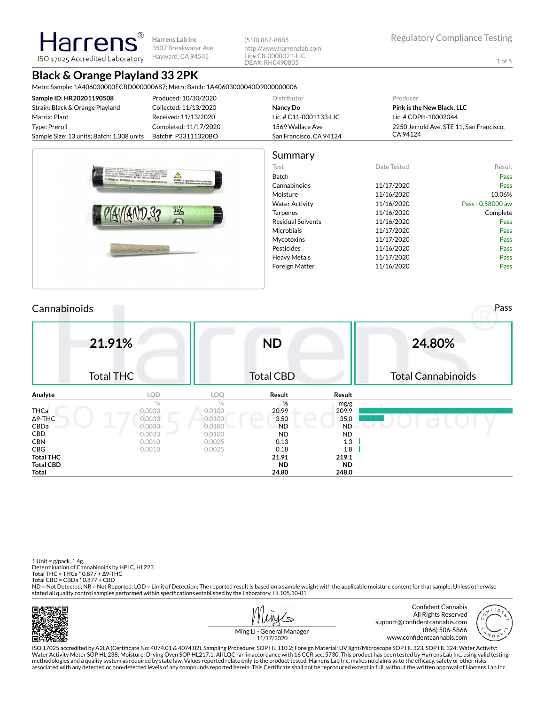**Harrens Lab Inc** 3507 Breakwater Ave Hayward, CA 94545

(510) 887-8885 http://www.harrenslab.com Lic# C8-0000021-LIC DEA#: RH0490805

# **Black & Orange Playland 33 2PK**

larrer

ISO 17025 Accredited Laboratory

Metrc Sample: 1A406030000ECBD000000687; Metrc Batch: 1A40603000040D9000000006

| Produced: 10/30/2020  | Distributor             | Producer                                 |
|-----------------------|-------------------------|------------------------------------------|
| Collected: 11/13/2020 | Nancy Do                | <b>Pink is the New Black, LLC</b>        |
| Received: 11/13/2020  | Lic. # C11-0001133-LIC  | Lic. # CDPH-10002044                     |
| Completed: 11/17/2020 | 1569 Wallace Ave        | 2250 Jerrold Ave. STE 11. San Francisco. |
| Batch#: P33111320BO   | San Francisco, CA 94124 | CA 94124                                 |
|                       |                         |                                          |



#### Cannabinoids Pass **21.91%** Total THC **ND** Total CBD **24.80%** Total Cannabinoids **Analyte LOD LOQ Result Result** % and  $\%$  mg/g **THCa** 0.0033 0.0100 20.99 209.9 Δ9-THC 35.0 35.0 CBDa 0.0033 0.0100 ND ND CBD 0.0033 0.0100 ND ND **CBN** 0.0010 0.0025 **0.13** 1.3 **CBG** 0.0010 0.0025 **0.18 1.8 Total THC 21.91 219.1 Total CBD ND ND Total 24.80 248.0**

1 Unit = g/pack, 1.4g. Determination of Cannabinoids by HPLC, HL223 Total THC = THCa \* 0.877 + ∆9-THC Total CBD = CBDa \* 0.877 + CBD

ND = Not Detected; NR = Not Reported; LOD = Limit of Detection; The reported result is based on a sample weight with the applicable moisture content for that sample; Unless otherwise stated all quality control samples performed within specifications established by the Laboratory. HL105.10-01



حکا





Ming Li - General Manager 11/17/2020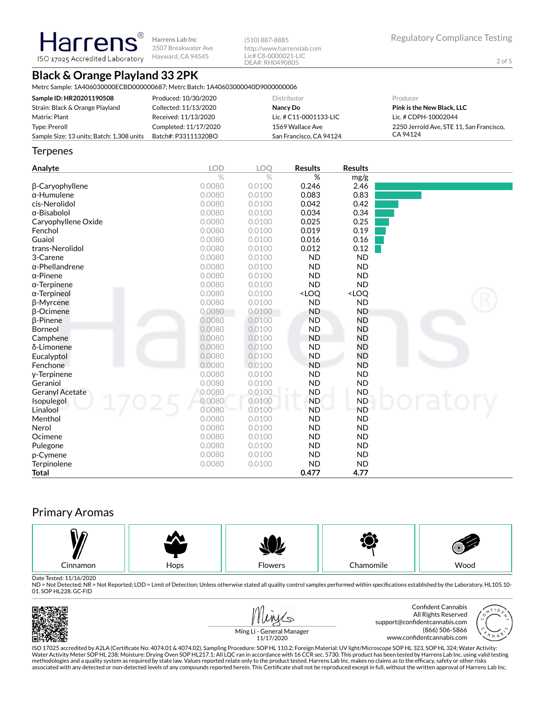**Harrens Lab Inc** 3507 Breakwater Ave Hayward, CA 94545

(510) 887-8885 http://www.harrenslab.com Lic# C8-0000021-LIC DEA#: RH0490805

# **Black & Orange Playland 33 2PK**

**Harrens** ISO 17025 Accredited Laboratory

Metrc Sample: 1A406030000ECBD000000687; Metrc Batch: 1A40603000040D9000000006

| Sample ID: HR20201190508                  | Produced: 10/30/2020  | <b>Distributor</b>      | Producer                                 |
|-------------------------------------------|-----------------------|-------------------------|------------------------------------------|
| Strain: Black & Orange Playland           | Collected: 11/13/2020 | Nancy Do                | <b>Pink is the New Black, LLC</b>        |
| Matrix: Plant                             | Received: 11/13/2020  | Lic. # C11-0001133-LIC  | Lic. # CDPH-10002044                     |
| Type: Preroll                             | Completed: 11/17/2020 | 1569 Wallace Ave        | 2250 Jerrold Ave. STE 11. San Francisco. |
| Sample Size: 13 units; Batch: 1,308 units | Batch#: P33111320BO   | San Francisco, CA 94124 | CA 94124                                 |

#### **Terpenes**

| Analyte                | <b>LOD</b> | LOQ    | <b>Results</b>                                           | <b>Results</b>               |        |
|------------------------|------------|--------|----------------------------------------------------------|------------------------------|--------|
|                        | $\%$       | $\%$   | %                                                        | mg/g                         |        |
| β-Caryophyllene        | 0.0080     | 0.0100 | 0.246                                                    | 2.46                         |        |
| $\alpha$ -Humulene     | 0.0080     | 0.0100 | 0.083                                                    | 0.83                         |        |
| cis-Nerolidol          | 0.0080     | 0.0100 | 0.042                                                    | 0.42                         |        |
| $\alpha$ -Bisabolol    | 0.0080     | 0.0100 | 0.034                                                    | 0.34                         |        |
| Caryophyllene Oxide    | 0.0080     | 0.0100 | 0.025                                                    | 0.25                         |        |
| Fenchol                | 0.0080     | 0.0100 | 0.019                                                    | 0.19                         |        |
| Guaiol                 | 0.0080     | 0.0100 | 0.016                                                    | 0.16                         |        |
| trans-Nerolidol        | 0.0080     | 0.0100 | 0.012                                                    | 0.12                         |        |
| 3-Carene               | 0.0080     | 0.0100 | <b>ND</b>                                                | <b>ND</b>                    |        |
| α-Phellandrene         | 0.0080     | 0.0100 | <b>ND</b>                                                | <b>ND</b>                    |        |
| $\alpha$ -Pinene       | 0.0080     | 0.0100 | <b>ND</b>                                                | <b>ND</b>                    |        |
| $\alpha$ -Terpinene    | 0.0080     | 0.0100 | <b>ND</b>                                                | <b>ND</b>                    |        |
| $\alpha$ -Terpineol    | 0.0080     | 0.0100 | <loq< th=""><th><loq< th=""><th></th></loq<></th></loq<> | <loq< th=""><th></th></loq<> |        |
| <b>B-Myrcene</b>       | 0.0080     | 0.0100 | <b>ND</b>                                                | <b>ND</b>                    |        |
| β-Ocimene              | 0.0080     | 0.0100 | <b>ND</b>                                                | <b>ND</b>                    |        |
| <b>B-Pinene</b>        | 0.0080     | 0.0100 | <b>ND</b>                                                | <b>ND</b>                    |        |
| Borneol                | 0.0080     | 0.0100 | <b>ND</b>                                                | <b>ND</b>                    |        |
| Camphene               | 0.0080     | 0.0100 | <b>ND</b>                                                | <b>ND</b>                    |        |
| δ-Limonene             | 0.0080     | 0.0100 | <b>ND</b>                                                | <b>ND</b>                    |        |
| Eucalyptol             | 0.0080     | 0.0100 | <b>ND</b>                                                | <b>ND</b>                    |        |
| Fenchone               | 0.0080     | 0.0100 | <b>ND</b>                                                | ND                           |        |
| y-Terpinene            | 0.0080     | 0.0100 | <b>ND</b>                                                | <b>ND</b>                    |        |
| Geraniol               | 0.0080     | 0.0100 | <b>ND</b>                                                | <b>ND</b>                    |        |
| <b>Geranyl Acetate</b> | 0.0080     | 0.0100 | <b>ND</b>                                                | <b>ND</b>                    |        |
| Isopulegol             | 0.0080     | 0.0100 | <b>ND</b>                                                | <b>ND</b>                    | ratory |
| Linalool               | 0.0080     | 0.0100 | <b>ND</b>                                                | <b>ND</b>                    |        |
| Menthol                | 0.0080     | 0.0100 | <b>ND</b>                                                | <b>ND</b>                    |        |
| Nerol                  | 0.0080     | 0.0100 | <b>ND</b>                                                | <b>ND</b>                    |        |
| Ocimene                | 0.0080     | 0.0100 | <b>ND</b>                                                | <b>ND</b>                    |        |
| Pulegone               | 0.0080     | 0.0100 | <b>ND</b>                                                | <b>ND</b>                    |        |
| p-Cymene               | 0.0080     | 0.0100 | <b>ND</b>                                                | <b>ND</b>                    |        |
| Terpinolene            | 0.0080     | 0.0100 | <b>ND</b>                                                | <b>ND</b>                    |        |
| Total                  |            |        | 0.477                                                    | 4.77                         |        |

### Primary Aromas



Date Tested: 11/16/2020<br>ND = Not Detected; NR = Not Reported; LOD = Limit of Detection; Unless otherwise stated all quality control samples performed within specifications established by the Laboratory. HL105.10-01. SOP HL228. GC-FID

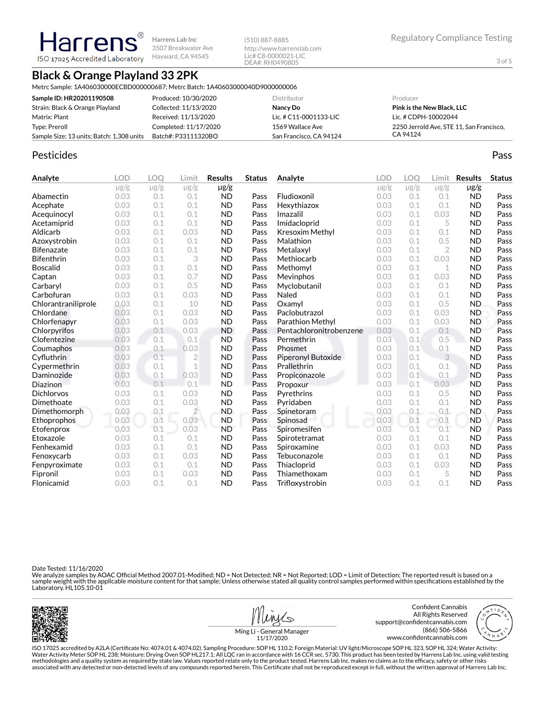**Harrens Lab Inc** 3507 Breakwater Ave Hayward, CA 94545

(510) 887-8885 http://www.harrenslab.com Lic# C8-0000021-LIC DEA#: RH0490805

# **Black & Orange Playland 33 2PK**

**Harrens** ISO 17025 Accredited Laboratory

Metrc Sample: 1A406030000ECBD000000687; Metrc Batch: 1A40603000040D9000000006

| Sample ID: HR20201190508                  | Produced: 10/30/2020  | Distributor              | Producer                                 |
|-------------------------------------------|-----------------------|--------------------------|------------------------------------------|
| Strain: Black & Orange Playland           | Collected: 11/13/2020 | Nancy Do                 | <b>Pink is the New Black, LLC</b>        |
| Matrix: Plant                             | Received: 11/13/2020  | Lic. # $C11-0001133-LLC$ | Lic. # CDPH-10002044                     |
| Type: Preroll                             | Completed: 11/17/2020 | 1569 Wallace Ave         | 2250 Jerrold Ave. STE 11. San Francisco. |
| Sample Size: 13 units; Batch: 1,308 units | Batch#: P33111320BO   | San Francisco, CA 94124  | CA 94124                                 |

### Pesticides **Passage Community Community Community** Passes and the extension of the extension of the extension of the extension of the extension of the extension of the extension of the extension of the extension of the ext

| Analyte             | <b>LOD</b> | <b>LOO</b> | Limit          | <b>Results</b> | <b>Status</b> | Analyte                 | <b>LOD</b> | <b>LOO</b> | Limit          | <b>Results</b> | <b>Status</b> |
|---------------------|------------|------------|----------------|----------------|---------------|-------------------------|------------|------------|----------------|----------------|---------------|
|                     | $\mu$ g/g  | $\mu$ g/g  | $\mu$ g/g      | $\mu$ g/g      |               |                         | $\mu$ g/g  | $\mu$ g/g  | $\mu$ g/g      | $\mu$ g/g      |               |
| Abamectin           | 0.03       | 0.1        | 0.1            | <b>ND</b>      | Pass          | Fludioxonil             | 0.03       | 0.1        | 0.1            | <b>ND</b>      | Pass          |
| Acephate            | 0.03       | 0.1        | 0.1            | <b>ND</b>      | Pass          | Hexythiazox             | 0.03       | 0.1        | 0.1            | <b>ND</b>      | Pass          |
| Acequinocyl         | 0.03       | 0.1        | 0.1            | <b>ND</b>      | Pass          | Imazalil                | 0.03       | 0.1        | 0.03           | <b>ND</b>      | Pass          |
| Acetamiprid         | 0.03       | 0.1        | 0.1            | <b>ND</b>      | Pass          | Imidacloprid            | 0.03       | 0.1        | 5              | <b>ND</b>      | Pass          |
| Aldicarb            | 0.03       | 0.1        | 0.03           | <b>ND</b>      | Pass          | Kresoxim Methyl         | 0.03       | 0.1        | 0.1            | <b>ND</b>      | Pass          |
| Azoxystrobin        | 0.03       | 0.1        | 0.1            | <b>ND</b>      | Pass          | Malathion               | 0.03       | 0.1        | 0.5            | <b>ND</b>      | Pass          |
| <b>Bifenazate</b>   | 0.03       | 0.1        | 0.1            | <b>ND</b>      | Pass          | Metalaxyl               | 0.03       | 0.1        | $\overline{2}$ | <b>ND</b>      | Pass          |
| <b>Bifenthrin</b>   | 0.03       | 0.1        | 3              | <b>ND</b>      | Pass          | Methiocarb              | 0.03       | 0.1        | 0.03           | <b>ND</b>      | Pass          |
| <b>Boscalid</b>     | 0.03       | 0.1        | 0.1            | <b>ND</b>      | Pass          | Methomyl                | 0.03       | 0.1        | 1              | <b>ND</b>      | Pass          |
| Captan              | 0.03       | 0.1        | 0.7            | <b>ND</b>      | Pass          | Mevinphos               | 0.03       | 0.1        | 0.03           | <b>ND</b>      | Pass          |
| Carbaryl            | 0.03       | 0.1        | 0.5            | <b>ND</b>      | Pass          | Myclobutanil            | 0.03       | 0.1        | 0.1            | <b>ND</b>      | Pass          |
| Carbofuran          | 0.03       | 0.1        | 0.03           | <b>ND</b>      | Pass          | Naled                   | 0.03       | 0.1        | 0.1            | <b>ND</b>      | Pass          |
| Chlorantraniliprole | 0.03       | 0.1        | 10             | <b>ND</b>      | Pass          | Oxamvl                  | 0.03       | 0.1        | 0.5            | <b>ND</b>      | Pass          |
| Chlordane           | 0.03       | 0.1        | 0.03           | <b>ND</b>      | Pass          | Paclobutrazol           | 0.03       | 0.1        | 0.03           | <b>ND</b>      | Pass          |
| Chlorfenapyr        | 0.03       | 0.1        | 0.03           | <b>ND</b>      | Pass          | Parathion Methyl        | 0.03       | 0.1        | 0.03           | <b>ND</b>      | Pass          |
| Chlorpyrifos        | 0.03       | 0.1        | 0.03           | <b>ND</b>      | Pass          | Pentachloronitrobenzene | 0.03       | 0.1        | 0.1            | <b>ND</b>      | Pass          |
| Clofentezine        | 0.03       | 0.1        | 0.1            | <b>ND</b>      | Pass          | Permethrin              | 0.03       | 0.1        | 0.5            | <b>ND</b>      | Pass          |
| Coumaphos           | 0.03       | 0.1        | 0.03           | <b>ND</b>      | Pass          | Phosmet                 | 0.03       | 0.1        | 0.1            | <b>ND</b>      | Pass          |
| Cyfluthrin          | 0.03       | 0.1        | $\overline{2}$ | <b>ND</b>      | Pass          | Piperonyl Butoxide      | 0.03       | 0.1        | 3              | <b>ND</b>      | Pass          |
| Cypermethrin        | 0.03       | 0.1        | $\mathbf 1$    | <b>ND</b>      | Pass          | Prallethrin             | 0.03       | 0.1        | 0.1            | <b>ND</b>      | Pass          |
| Daminozide          | 0.03       | 0.1        | 0.03           | <b>ND</b>      | Pass          | Propiconazole           | 0.03       | 0.1        | 0.1            | <b>ND</b>      | Pass          |
| Diazinon            | 0.03       | 0.1        | 0.1            | <b>ND</b>      | Pass          | Propoxur                | 0.03       | 0.1        | 0.03           | <b>ND</b>      | Pass          |
| Dichlorvos          | 0.03       | 0.1        | 0.03           | <b>ND</b>      | Pass          | Pyrethrins              | 0.03       | 0.1        | 0.5            | <b>ND</b>      | Pass          |
| Dimethoate          | 0.03       | 0.1        | 0.03           | <b>ND</b>      | Pass          | Pyridaben               | 0.03       | 0.1        | 0.1            | <b>ND</b>      | Pass          |
| Dimethomorph        | 0.03       | 0.1        | $\overline{2}$ | <b>ND</b>      | Pass          | Spinetoram              | 0.03       | 0.1        | 0.1            | <b>ND</b>      | Pass          |
| Ethoprophos         | 0.03       | 0.1        | 0.03           | <b>ND</b>      | Pass          | Spinosad                | 0.03       | 0.1        | 0.1            | <b>ND</b>      | Pass          |
| Etofenprox          | 0.03       | 0.1        | 0.03           | <b>ND</b>      | Pass          | Spiromesifen            | 0.03       | 0.1        | 0.1            | <b>ND</b>      | Pass          |
| Etoxazole           | 0.03       | 0.1        | 0.1            | <b>ND</b>      | Pass          | Spirotetramat           | 0.03       | 0.1        | 0.1            | <b>ND</b>      | Pass          |
| Fenhexamid          | 0.03       | 0.1        | 0.1            | <b>ND</b>      | Pass          | Spiroxamine             | 0.03       | 0.1        | 0.03           | <b>ND</b>      | Pass          |
| Fenoxycarb          | 0.03       | 0.1        | 0.03           | <b>ND</b>      | Pass          | Tebuconazole            | 0.03       | 0.1        | 0.1            | <b>ND</b>      | Pass          |
| Fenpyroximate       | 0.03       | 0.1        | 0.1            | <b>ND</b>      | Pass          | Thiacloprid             | 0.03       | 0.1        | 0.03           | <b>ND</b>      | Pass          |
| Fipronil            | 0.03       | 0.1        | 0.03           | <b>ND</b>      | Pass          | Thiamethoxam            | 0.03       | 0.1        | 5              | <b>ND</b>      | Pass          |
| Flonicamid          | 0.03       | 0.1        | 0.1            | <b>ND</b>      | Pass          | Trifloxystrobin         | 0.03       | 0.1        | 0.1            | <b>ND</b>      | Pass          |

Date Tested: 11/16/2020

We analyze samples by AOAC Official Method 2007.01-Modified; ND = Not Detected; NR = Not Reported; LOD = Limit of Detection; The reported result is based on a<br>sample weight with the applicable moisture content for that sam





support@confidentcannabis.com www.confidentcannabis.com



Ming Li - General Manager 11/17/2020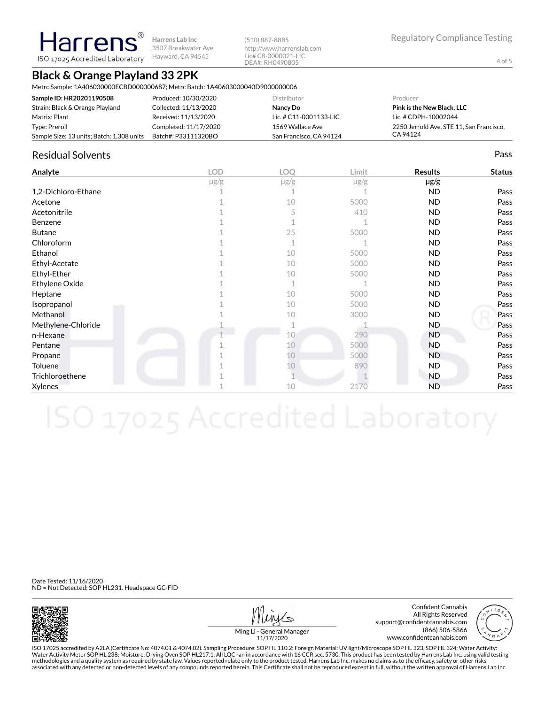**Harrens** 3507 Breakwater Ave ISO 17025 Accredited Laboratory Hayward, CA 94545

### **Black & Orange Playland 33 2PK**

Metrc Sample: 1A406030000ECBD000000687; Metrc Batch: 1A40603000040D9000000006

**Harrens Lab Inc**

| Sample ID: HR20201190508                  | Produced: 10/30/2020  | Distributor              | Producer                                 |
|-------------------------------------------|-----------------------|--------------------------|------------------------------------------|
| Strain: Black & Orange Playland           | Collected: 11/13/2020 | Nancy Do                 | <b>Pink is the New Black, LLC</b>        |
| Matrix: Plant                             | Received: 11/13/2020  | Lic. # $C11-0001133-LLC$ | Lic. # CDPH-10002044                     |
| Type: Preroll                             | Completed: 11/17/2020 | 1569 Wallace Ave         | 2250 Jerrold Ave. STE 11. San Francisco. |
| Sample Size: 13 units; Batch: 1,308 units | Batch#: P33111320BO   | San Francisco, CA 94124  | CA 94124                                 |

(510) 887-8885

http://www.harrenslab.com Lic# C8-0000021-LIC DEA#: RH0490805

### Residual Solvents Pass

| Analyte             | <b>LOD</b> | LOQ       | Limit     | <b>Results</b> | <b>Status</b> |
|---------------------|------------|-----------|-----------|----------------|---------------|
|                     | $\mu$ g/g  | $\mu$ g/g | $\mu$ g/g | µg/g           |               |
| 1,2-Dichloro-Ethane |            |           |           | <b>ND</b>      | Pass          |
| Acetone             |            | 10        | 5000      | ND.            | Pass          |
| Acetonitrile        |            | 5         | 410       | <b>ND</b>      | Pass          |
| Benzene             |            |           |           | <b>ND</b>      | Pass          |
| <b>Butane</b>       |            | 25        | 5000      | <b>ND</b>      | Pass          |
| Chloroform          |            | 1         |           | <b>ND</b>      | Pass          |
| Ethanol             |            | 10        | 5000      | <b>ND</b>      | Pass          |
| Ethyl-Acetate       |            | 10        | 5000      | <b>ND</b>      | Pass          |
| Ethyl-Ether         |            | 10        | 5000      | <b>ND</b>      | Pass          |
| Ethylene Oxide      |            | 1         |           | <b>ND</b>      | Pass          |
| Heptane             |            | 10        | 5000      | <b>ND</b>      | Pass          |
| Isopropanol         |            | 10        | 5000      | <b>ND</b>      | Pass          |
| Methanol            |            | 10        | 3000      | <b>ND</b>      | Pass          |
| Methylene-Chloride  |            |           |           | ND.            | Pass          |
| n-Hexane            |            | 10        | 290       | <b>ND</b>      | Pass          |
| Pentane             |            | 10        | 5000      | <b>ND</b>      | Pass          |
| Propane             |            | 10        | 5000      | ND.            | Pass          |
| Toluene             |            | 10        | 890       | <b>ND</b>      | Pass          |
| Trichloroethene     |            |           |           | <b>ND</b>      | Pass          |
| Xylenes             |            | 10        | 2170      | <b>ND</b>      | Pass          |

Date Tested: 11/16/2020 ND = Not Detected; SOP HL231. Headspace GC-FID



Confident Cannabis All Rights Reserved support@confidentcannabis.com (866) 506-5866 www.confidentcannabis.com



Ming Li - General Manager 11/17/2020